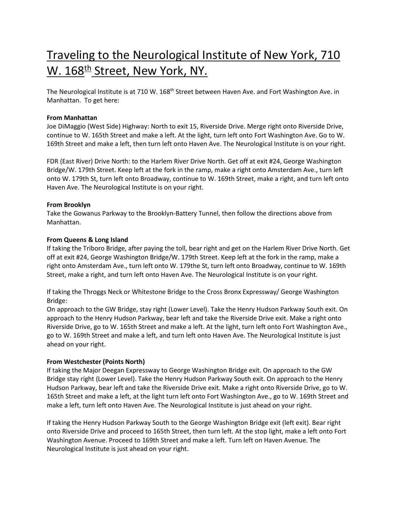# Traveling to the Neurological Institute of New York, 710 W. 168<sup>th</sup> Street, New York, NY.

The Neurological Institute is at 710 W. 168<sup>th</sup> Street between Haven Ave. and Fort Washington Ave. in Manhattan. To get here:

# **From Manhattan**

Joe DiMaggio (West Side) Highway: North to exit 15, Riverside Drive. Merge right onto Riverside Drive, continue to W. 165th Street and make a left. At the light, turn left onto Fort Washington Ave. Go to W. 169th Street and make a left, then turn left onto Haven Ave. The Neurological Institute is on your right.

FDR (East River) Drive North: to the Harlem River Drive North. Get off at exit #24, George Washington Bridge/W. 179th Street. Keep left at the fork in the ramp, make a right onto Amsterdam Ave., turn left onto W. 179th St, turn left onto Broadway, continue to W. 169th Street, make a right, and turn left onto Haven Ave. The Neurological Institute is on your right.

# **From Brooklyn**

Take the Gowanus Parkway to the Brooklyn-Battery Tunnel, then follow the directions above from Manhattan.

# **From Queens & Long Island**

If taking the Triboro Bridge, after paying the toll, bear right and get on the Harlem River Drive North. Get off at exit #24, George Washington Bridge/W. 179th Street. Keep left at the fork in the ramp, make a right onto Amsterdam Ave., turn left onto W. 179the St, turn left onto Broadway, continue to W. 169th Street, make a right, and turn left onto Haven Ave. The Neurological Institute is on your right.

If taking the Throggs Neck or Whitestone Bridge to the Cross Bronx Expressway/ George Washington Bridge:

On approach to the GW Bridge, stay right (Lower Level). Take the Henry Hudson Parkway South exit. On approach to the Henry Hudson Parkway, bear left and take the Riverside Drive exit. Make a right onto Riverside Drive, go to W. 165th Street and make a left. At the light, turn left onto Fort Washington Ave., go to W. 169th Street and make a left, and turn left onto Haven Ave. The Neurological Institute is just ahead on your right.

# **From Westchester (Points North)**

If taking the Major Deegan Expressway to George Washington Bridge exit. On approach to the GW Bridge stay right (Lower Level). Take the Henry Hudson Parkway South exit. On approach to the Henry Hudson Parkway, bear left and take the Riverside Drive exit. Make a right onto Riverside Drive, go to W. 165th Street and make a left, at the light turn left onto Fort Washington Ave., go to W. 169th Street and make a left, turn left onto Haven Ave. The Neurological Institute is just ahead on your right.

If taking the Henry Hudson Parkway South to the George Washington Bridge exit (left exit). Bear right onto Riverside Drive and proceed to 165th Street, then turn left. At the stop light, make a left onto Fort Washington Avenue. Proceed to 169th Street and make a left. Turn left on Haven Avenue. The Neurological Institute is just ahead on your right.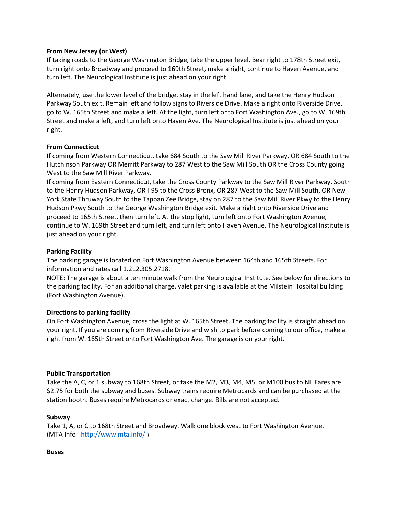## **From New Jersey (or West)**

If taking roads to the George Washington Bridge, take the upper level. Bear right to 178th Street exit, turn right onto Broadway and proceed to 169th Street, make a right, continue to Haven Avenue, and turn left. The Neurological Institute is just ahead on your right.

Alternately, use the lower level of the bridge, stay in the left hand lane, and take the Henry Hudson Parkway South exit. Remain left and follow signs to Riverside Drive. Make a right onto Riverside Drive, go to W. 165th Street and make a left. At the light, turn left onto Fort Washington Ave., go to W. 169th Street and make a left, and turn left onto Haven Ave. The Neurological Institute is just ahead on your right.

## **From Connecticut**

If coming from Western Connecticut, take 684 South to the Saw Mill River Parkway, OR 684 South to the Hutchinson Parkway OR Merritt Parkway to 287 West to the Saw Mill South OR the Cross County going West to the Saw Mill River Parkway.

If coming from Eastern Connecticut, take the Cross County Parkway to the Saw Mill River Parkway, South to the Henry Hudson Parkway, OR I-95 to the Cross Bronx, OR 287 West to the Saw Mill South, OR New York State Thruway South to the Tappan Zee Bridge, stay on 287 to the Saw Mill River Pkwy to the Henry Hudson Pkwy South to the George Washington Bridge exit. Make a right onto Riverside Drive and proceed to 165th Street, then turn left. At the stop light, turn left onto Fort Washington Avenue, continue to W. 169th Street and turn left, and turn left onto Haven Avenue. The Neurological Institute is just ahead on your right.

## **Parking Facility**

The parking garage is located on Fort Washington Avenue between 164th and 165th Streets. For information and rates call 1.212.305.2718.

NOTE: The garage is about a ten minute walk from the Neurological Institute. See below for directions to the parking facility. For an additional charge, valet parking is available at the Milstein Hospital building (Fort Washington Avenue).

# **Directions to parking facility**

On Fort Washington Avenue, cross the light at W. 165th Street. The parking facility is straight ahead on your right. If you are coming from Riverside Drive and wish to park before coming to our office, make a right from W. 165th Street onto Fort Washington Ave. The garage is on your right.

#### **Public Transportation**

Take the A, C, or 1 subway to 168th Street, or take the M2, M3, M4, M5, or M100 bus to NI. Fares are \$2.75 for both the subway and buses. Subway trains require Metrocards and can be purchased at the station booth. Buses require Metrocards or exact change. Bills are not accepted.

# **Subway**

Take 1, A, or C to 168th Street and Broadway. Walk one block west to Fort Washington Avenue. (MTA Info:<http://www.mta.info/> )

#### **Buses**